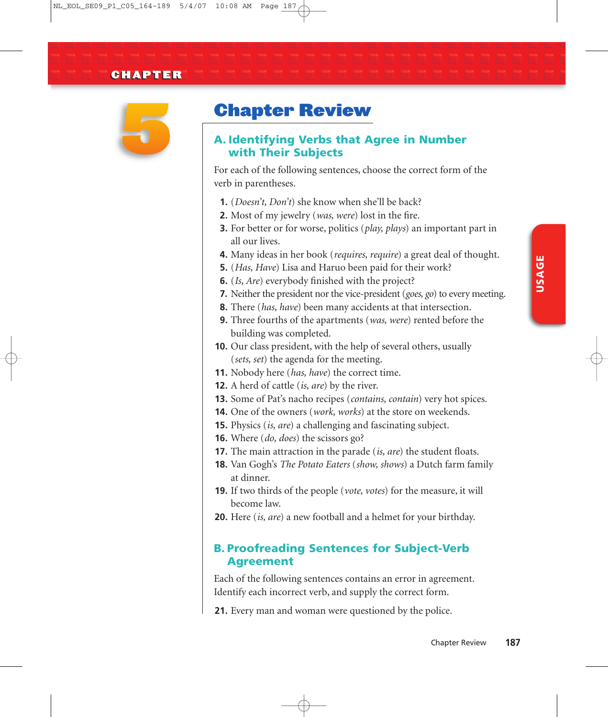

# Chapter Review

## **A. Identifying Verbs that Agree in Number with Their Subjects**

For each of the following sentences, choose the correct form of the verb in parentheses.

- **1.** (*Doesn't, Don't*) she know when she'll be back?
- **2.** Most of my jewelry (*was, were*) lost in the fire.
- **3.** For better or for worse, politics (*play, plays*) an important part in all our lives.
- **4.** Many ideas in her book (*requires, require*) a great deal of thought.
- **5.** (*Has, Have*) Lisa and Haruo been paid for their work?
- **6.** (*Is, Are*) everybody finished with the project?
- **7.** Neither the president nor the vice-president (*goes, go*) to every meeting.
- **8.** There (*has, have*) been many accidents at that intersection.
- **9.** Three fourths of the apartments (*was, were*) rented before the building was completed.
- **10.** Our class president, with the help of several others, usually (*sets, set*) the agenda for the meeting.
- **11.** Nobody here (*has, have*) the correct time.
- **12.** A herd of cattle (*is, are*) by the river.
- **13.** Some of Pat's nacho recipes (*contains, contain*) very hot spices.
- **14.** One of the owners (*work, works*) at the store on weekends.
- **15.** Physics (*is, are*) a challenging and fascinating subject.
- **16.** Where (*do, does*) the scissors go?
- **17.** The main attraction in the parade (*is, are*) the student floats.
- **18.** Van Gogh's *The Potato Eaters* (*show, shows*) a Dutch farm family at dinner.
- **19.** If two thirds of the people (*vote, votes*) for the measure, it will become law.
- **20.** Here (*is, are*) a new football and a helmet for your birthday.

## **B. Proofreading Sentences for Subject-Verb Agreement**

Each of the following sentences contains an error in agreement. Identify each incorrect verb, and supply the correct form.

**21.** Every man and woman were questioned by the police.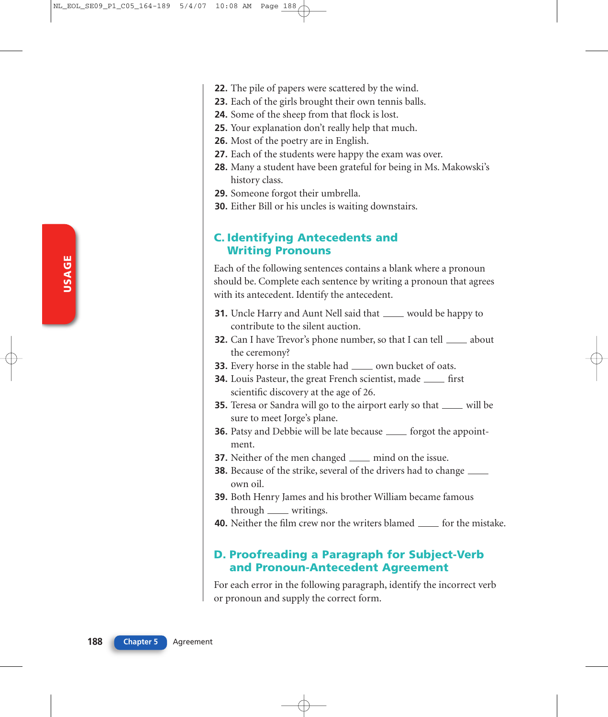- **22.** The pile of papers were scattered by the wind.
- **23.** Each of the girls brought their own tennis balls.
- **24.** Some of the sheep from that flock is lost.
- **25.** Your explanation don't really help that much.
- **26.** Most of the poetry are in English.
- **27.** Each of the students were happy the exam was over.
- **28.** Many a student have been grateful for being in Ms. Makowski's history class.
- **29.** Someone forgot their umbrella.
- **30.** Either Bill or his uncles is waiting downstairs.

#### **C. Identifying Antecedents and Writing Pronouns**

Each of the following sentences contains a blank where a pronoun should be. Complete each sentence by writing a pronoun that agrees with its antecedent. Identify the antecedent.

- **31.** Uncle Harry and Aunt Nell said that <u>would be happy to</u> contribute to the silent auction.
- **32.** Can I have Trevor's phone number, so that I can tell <u>secure</u> about the ceremony?
- **33.** Every horse in the stable had <u>seeman bucket of oats</u>.
- **34.** Louis Pasteur, the great French scientist, made <u>first</u> scientific discovery at the age of 26.
- **35.** Teresa or Sandra will go to the airport early so that <u>will</u> be sure to meet Jorge's plane.
- **36.** Patsy and Debbie will be late because <u>forgot</u> the appointment.
- **37.** Neither of the men changed <u>equal</u> mind on the issue.
- **38.** Because of the strike, several of the drivers had to change own oil.
- **39.** Both Henry James and his brother William became famous through <u>equal</u> writings.
- **40.** Neither the film crew nor the writers blamed <u>for</u> the mistake.

#### **D. Proofreading a Paragraph for Subject-Verb and Pronoun-Antecedent Agreement**

For each error in the following paragraph, identify the incorrect verb or pronoun and supply the correct form.